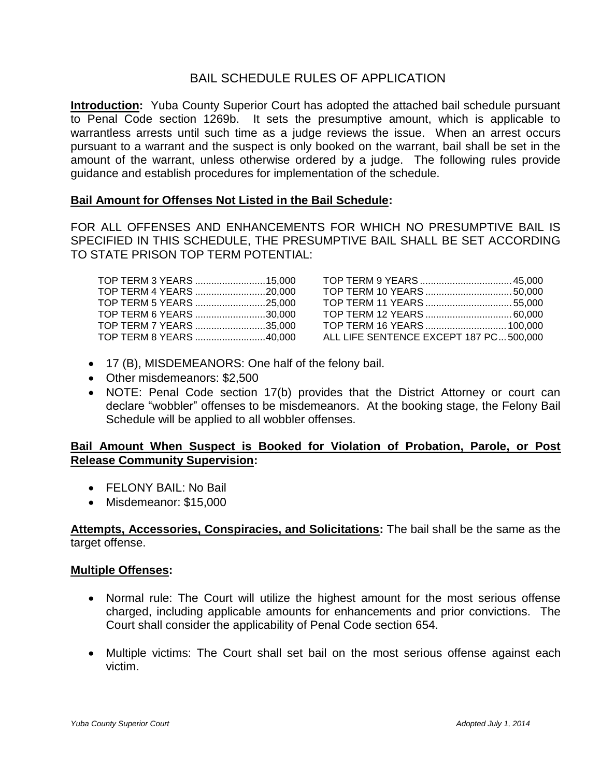### BAIL SCHEDULE RULES OF APPLICATION

**Introduction:** Yuba County Superior Court has adopted the attached bail schedule pursuant to Penal Code section 1269b. It sets the presumptive amount, which is applicable to warrantless arrests until such time as a judge reviews the issue. When an arrest occurs pursuant to a warrant and the suspect is only booked on the warrant, bail shall be set in the amount of the warrant, unless otherwise ordered by a judge. The following rules provide guidance and establish procedures for implementation of the schedule.

#### **Bail Amount for Offenses Not Listed in the Bail Schedule:**

FOR ALL OFFENSES AND ENHANCEMENTS FOR WHICH NO PRESUMPTIVE BAIL IS SPECIFIED IN THIS SCHEDULE, THE PRESUMPTIVE BAIL SHALL BE SET ACCORDING TO STATE PRISON TOP TERM POTENTIAL:

| TOP TERM 3 YEARS 15,000 |
|-------------------------|
| TOP TERM 4 YEARS 20,000 |
| TOP TERM 5 YEARS 25,000 |
| TOP TERM 6 YEARS 30,000 |
| TOP TERM 7 YEARS 35,000 |
| TOP TERM 8 YEARS 40,000 |
|                         |

| TOP TERM 3 YEARS 15,000 |                                        |  |
|-------------------------|----------------------------------------|--|
|                         |                                        |  |
| TOP TERM 5 YEARS 25,000 |                                        |  |
|                         |                                        |  |
|                         |                                        |  |
|                         | ALL LIFE SENTENCE EXCEPT 187 PC500,000 |  |

- 17 (B), MISDEMEANORS: One half of the felony bail.
- Other misdemeanors: \$2,500
- NOTE: Penal Code section 17(b) provides that the District Attorney or court can declare "wobbler" offenses to be misdemeanors. At the booking stage, the Felony Bail Schedule will be applied to all wobbler offenses.

### **Bail Amount When Suspect is Booked for Violation of Probation, Parole, or Post Release Community Supervision:**

- FELONY BAIL: No Bail
- Misdemeanor: \$15,000

**Attempts, Accessories, Conspiracies, and Solicitations:** The bail shall be the same as the target offense.

#### **Multiple Offenses:**

- Normal rule: The Court will utilize the highest amount for the most serious offense charged, including applicable amounts for enhancements and prior convictions. The Court shall consider the applicability of Penal Code section 654.
- Multiple victims: The Court shall set bail on the most serious offense against each victim.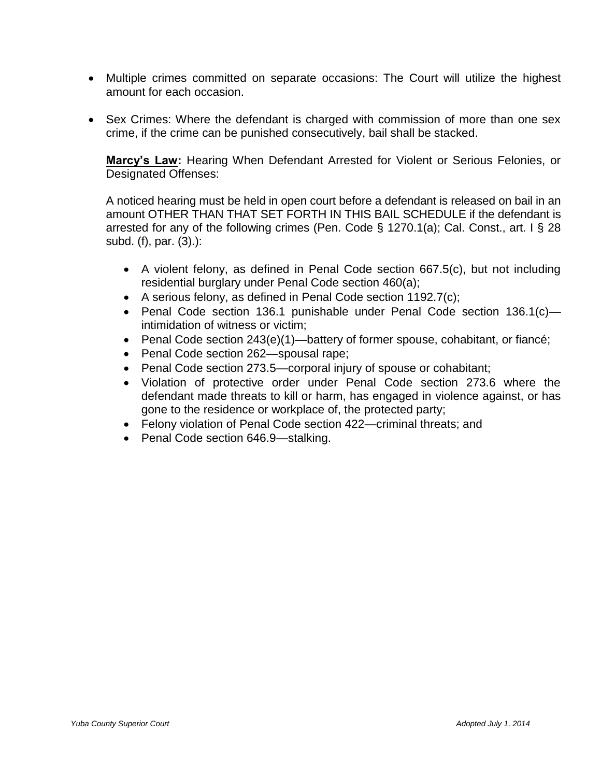- Multiple crimes committed on separate occasions: The Court will utilize the highest amount for each occasion.
- Sex Crimes: Where the defendant is charged with commission of more than one sex crime, if the crime can be punished consecutively, bail shall be stacked.

**Marcy's Law:** Hearing When Defendant Arrested for Violent or Serious Felonies, or Designated Offenses:

A noticed hearing must be held in open court before a defendant is released on bail in an amount OTHER THAN THAT SET FORTH IN THIS BAIL SCHEDULE if the defendant is arrested for any of the following crimes (Pen. Code § 1270.1(a); Cal. Const., art. I § 28 subd. (f), par. (3).):

- A violent felony, as defined in Penal Code section 667.5(c), but not including residential burglary under Penal Code section 460(a);
- A serious felony, as defined in Penal Code section 1192.7(c);
- Penal Code section 136.1 punishable under Penal Code section 136.1(c) intimidation of witness or victim;
- Penal Code section 243(e)(1)—battery of former spouse, cohabitant, or fiancé;
- Penal Code section 262—spousal rape;
- Penal Code section 273.5—corporal injury of spouse or cohabitant;
- Violation of protective order under Penal Code section 273.6 where the defendant made threats to kill or harm, has engaged in violence against, or has gone to the residence or workplace of, the protected party;
- Felony violation of Penal Code section 422—criminal threats; and
- Penal Code section 646.9—stalking.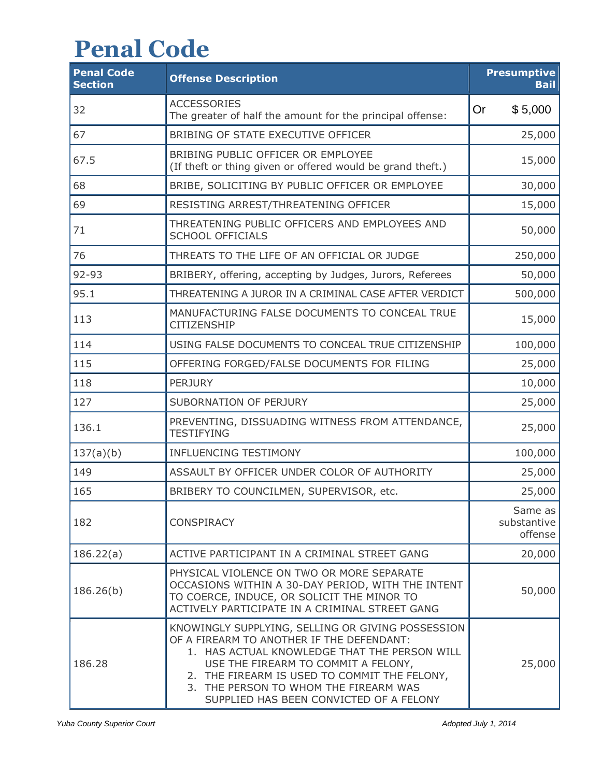# **Penal Code**

| <b>Penal Code</b><br><b>Section</b> | <b>Offense Description</b>                                                                                                                                                                                                                                                                                                | <b>Presumptive</b><br><b>Bail</b> |
|-------------------------------------|---------------------------------------------------------------------------------------------------------------------------------------------------------------------------------------------------------------------------------------------------------------------------------------------------------------------------|-----------------------------------|
| 32                                  | <b>ACCESSORIES</b><br>The greater of half the amount for the principal offense:                                                                                                                                                                                                                                           | \$5,000<br><b>Or</b>              |
| 67                                  | BRIBING OF STATE EXECUTIVE OFFICER                                                                                                                                                                                                                                                                                        | 25,000                            |
| 67.5                                | BRIBING PUBLIC OFFICER OR EMPLOYEE<br>(If theft or thing given or offered would be grand theft.)                                                                                                                                                                                                                          | 15,000                            |
| 68                                  | BRIBE, SOLICITING BY PUBLIC OFFICER OR EMPLOYEE                                                                                                                                                                                                                                                                           | 30,000                            |
| 69                                  | RESISTING ARREST/THREATENING OFFICER                                                                                                                                                                                                                                                                                      | 15,000                            |
| 71                                  | THREATENING PUBLIC OFFICERS AND EMPLOYEES AND<br><b>SCHOOL OFFICIALS</b>                                                                                                                                                                                                                                                  | 50,000                            |
| 76                                  | THREATS TO THE LIFE OF AN OFFICIAL OR JUDGE                                                                                                                                                                                                                                                                               | 250,000                           |
| 92-93                               | BRIBERY, offering, accepting by Judges, Jurors, Referees                                                                                                                                                                                                                                                                  | 50,000                            |
| 95.1                                | THREATENING A JUROR IN A CRIMINAL CASE AFTER VERDICT                                                                                                                                                                                                                                                                      | 500,000                           |
| 113                                 | MANUFACTURING FALSE DOCUMENTS TO CONCEAL TRUE<br>CITIZENSHIP                                                                                                                                                                                                                                                              | 15,000                            |
| 114                                 | USING FALSE DOCUMENTS TO CONCEAL TRUE CITIZENSHIP                                                                                                                                                                                                                                                                         | 100,000                           |
| 115                                 | OFFERING FORGED/FALSE DOCUMENTS FOR FILING                                                                                                                                                                                                                                                                                | 25,000                            |
| 118                                 | <b>PERJURY</b>                                                                                                                                                                                                                                                                                                            | 10,000                            |
| 127                                 | SUBORNATION OF PERJURY                                                                                                                                                                                                                                                                                                    | 25,000                            |
| 136.1                               | PREVENTING, DISSUADING WITNESS FROM ATTENDANCE,<br><b>TESTIFYING</b>                                                                                                                                                                                                                                                      | 25,000                            |
| 137(a)(b)                           | <b>INFLUENCING TESTIMONY</b>                                                                                                                                                                                                                                                                                              | 100,000                           |
| 149                                 | ASSAULT BY OFFICER UNDER COLOR OF AUTHORITY                                                                                                                                                                                                                                                                               | 25,000                            |
| 165                                 | BRIBERY TO COUNCILMEN, SUPERVISOR, etc.                                                                                                                                                                                                                                                                                   | 25,000                            |
| 182                                 | <b>CONSPIRACY</b>                                                                                                                                                                                                                                                                                                         | Same as<br>substantive<br>offense |
| 186.22(a)                           | ACTIVE PARTICIPANT IN A CRIMINAL STREET GANG                                                                                                                                                                                                                                                                              | 20,000                            |
| 186.26(b)                           | PHYSICAL VIOLENCE ON TWO OR MORE SEPARATE<br>OCCASIONS WITHIN A 30-DAY PERIOD, WITH THE INTENT<br>TO COERCE, INDUCE, OR SOLICIT THE MINOR TO<br>ACTIVELY PARTICIPATE IN A CRIMINAL STREET GANG                                                                                                                            | 50,000                            |
| 186.28                              | KNOWINGLY SUPPLYING, SELLING OR GIVING POSSESSION<br>OF A FIREARM TO ANOTHER IF THE DEFENDANT:<br>1. HAS ACTUAL KNOWLEDGE THAT THE PERSON WILL<br>USE THE FIREARM TO COMMIT A FELONY,<br>2. THE FIREARM IS USED TO COMMIT THE FELONY,<br>3. THE PERSON TO WHOM THE FIREARM WAS<br>SUPPLIED HAS BEEN CONVICTED OF A FELONY | 25,000                            |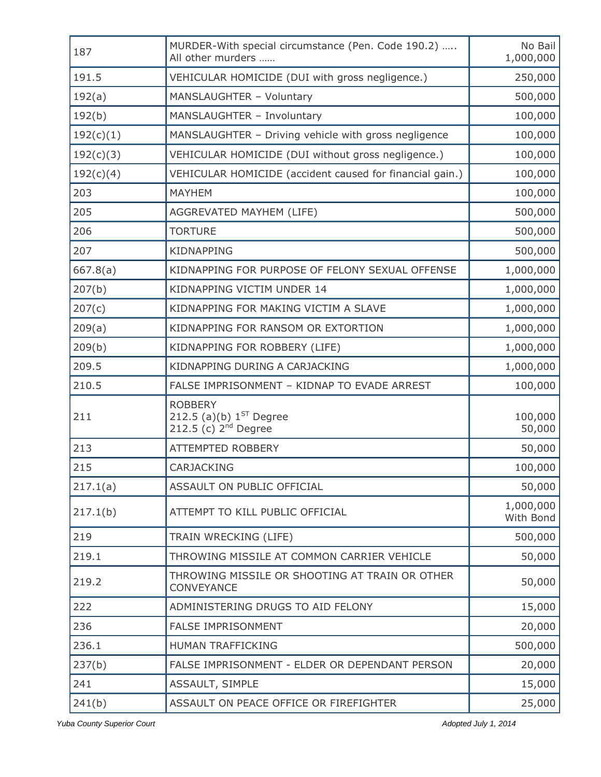| 187       | MURDER-With special circumstance (Pen. Code 190.2)<br>All other murders     | No Bail<br>1,000,000   |
|-----------|-----------------------------------------------------------------------------|------------------------|
| 191.5     | VEHICULAR HOMICIDE (DUI with gross negligence.)                             | 250,000                |
| 192(a)    | MANSLAUGHTER - Voluntary                                                    | 500,000                |
| 192(b)    | MANSLAUGHTER - Involuntary                                                  | 100,000                |
| 192(c)(1) | MANSLAUGHTER - Driving vehicle with gross negligence                        | 100,000                |
| 192(c)(3) | VEHICULAR HOMICIDE (DUI without gross negligence.)                          | 100,000                |
| 192(c)(4) | VEHICULAR HOMICIDE (accident caused for financial gain.)                    | 100,000                |
| 203       | <b>MAYHEM</b>                                                               | 100,000                |
| 205       | AGGREVATED MAYHEM (LIFE)                                                    | 500,000                |
| 206       | <b>TORTURE</b>                                                              | 500,000                |
| 207       | <b>KIDNAPPING</b>                                                           | 500,000                |
| 667.8(a)  | KIDNAPPING FOR PURPOSE OF FELONY SEXUAL OFFENSE                             | 1,000,000              |
| 207(b)    | KIDNAPPING VICTIM UNDER 14                                                  | 1,000,000              |
| 207(c)    | KIDNAPPING FOR MAKING VICTIM A SLAVE                                        | 1,000,000              |
| 209(a)    | KIDNAPPING FOR RANSOM OR EXTORTION                                          | 1,000,000              |
| 209(b)    | KIDNAPPING FOR ROBBERY (LIFE)                                               | 1,000,000              |
| 209.5     | KIDNAPPING DURING A CARJACKING                                              | 1,000,000              |
| 210.5     | FALSE IMPRISONMENT - KIDNAP TO EVADE ARREST                                 | 100,000                |
| 211       | <b>ROBBERY</b><br>212.5 (a)(b) $1^{ST}$ Degree<br>212.5 (c) $2^{nd}$ Degree | 100,000<br>50,000      |
| 213       | <b>ATTEMPTED ROBBERY</b>                                                    | 50,000                 |
| 215       | CARJACKING                                                                  | 100,000                |
| 217.1(a)  | ASSAULT ON PUBLIC OFFICIAL                                                  | 50,000                 |
| 217.1(b)  | ATTEMPT TO KILL PUBLIC OFFICIAL                                             | 1,000,000<br>With Bond |
| 219       | TRAIN WRECKING (LIFE)                                                       | 500,000                |
| 219.1     | THROWING MISSILE AT COMMON CARRIER VEHICLE                                  | 50,000                 |
| 219.2     | THROWING MISSILE OR SHOOTING AT TRAIN OR OTHER<br>CONVEYANCE                | 50,000                 |
| 222       | ADMINISTERING DRUGS TO AID FELONY                                           | 15,000                 |
| 236       | <b>FALSE IMPRISONMENT</b>                                                   | 20,000                 |
| 236.1     | HUMAN TRAFFICKING                                                           | 500,000                |
| 237(b)    | FALSE IMPRISONMENT - ELDER OR DEPENDANT PERSON                              | 20,000                 |
| 241       | ASSAULT, SIMPLE                                                             | 15,000                 |
| 241(b)    | ASSAULT ON PEACE OFFICE OR FIREFIGHTER                                      | 25,000                 |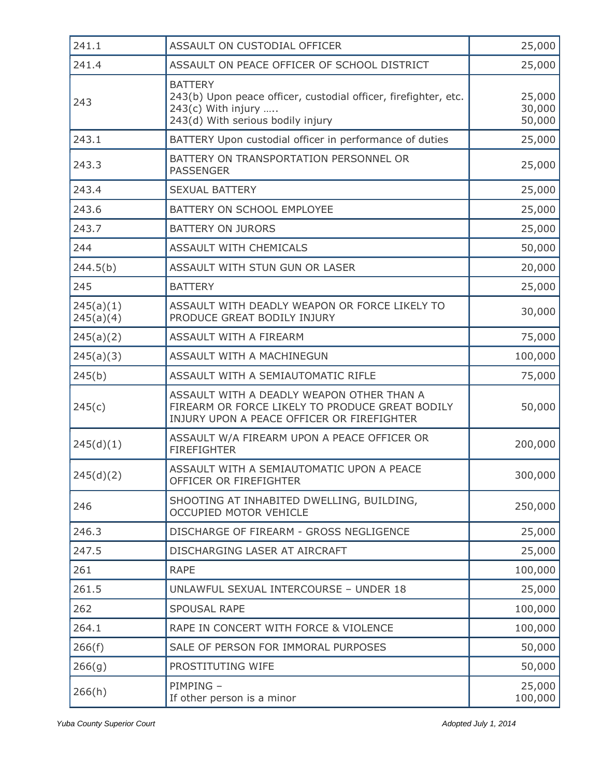| 241.1                  | ASSAULT ON CUSTODIAL OFFICER                                                                                                                   | 25,000                     |
|------------------------|------------------------------------------------------------------------------------------------------------------------------------------------|----------------------------|
| 241.4                  | ASSAULT ON PEACE OFFICER OF SCHOOL DISTRICT                                                                                                    | 25,000                     |
| 243                    | <b>BATTERY</b><br>243(b) Upon peace officer, custodial officer, firefighter, etc.<br>$243(c)$ With injury<br>243(d) With serious bodily injury | 25,000<br>30,000<br>50,000 |
| 243.1                  | BATTERY Upon custodial officer in performance of duties                                                                                        | 25,000                     |
| 243.3                  | BATTERY ON TRANSPORTATION PERSONNEL OR<br><b>PASSENGER</b>                                                                                     | 25,000                     |
| 243.4                  | <b>SEXUAL BATTERY</b>                                                                                                                          | 25,000                     |
| 243.6                  | BATTERY ON SCHOOL EMPLOYEE                                                                                                                     | 25,000                     |
| 243.7                  | <b>BATTERY ON JURORS</b>                                                                                                                       | 25,000                     |
| 244                    | <b>ASSAULT WITH CHEMICALS</b>                                                                                                                  | 50,000                     |
| 244.5(b)               | ASSAULT WITH STUN GUN OR LASER                                                                                                                 | 20,000                     |
| 245                    | <b>BATTERY</b>                                                                                                                                 | 25,000                     |
| 245(a)(1)<br>245(a)(4) | ASSAULT WITH DEADLY WEAPON OR FORCE LIKELY TO<br>PRODUCE GREAT BODILY INJURY                                                                   | 30,000                     |
| 245(a)(2)              | ASSAULT WITH A FIREARM                                                                                                                         | 75,000                     |
| 245(a)(3)              | ASSAULT WITH A MACHINEGUN                                                                                                                      | 100,000                    |
| 245(b)                 | ASSAULT WITH A SEMIAUTOMATIC RIFLE                                                                                                             | 75,000                     |
| 245(c)                 | ASSAULT WITH A DEADLY WEAPON OTHER THAN A<br>FIREARM OR FORCE LIKELY TO PRODUCE GREAT BODILY<br>INJURY UPON A PEACE OFFICER OR FIREFIGHTER     | 50,000                     |
| 245(d)(1)              | ASSAULT W/A FIREARM UPON A PEACE OFFICER OR<br><b>FIREFIGHTER</b>                                                                              | 200,000                    |
| 245(d)(2)              | ASSAULT WITH A SEMIAUTOMATIC UPON A PEACE<br>OFFICER OR FIREFIGHTER                                                                            | 300,000                    |
| 246                    | SHOOTING AT INHABITED DWELLING, BUILDING,<br>OCCUPIED MOTOR VEHICLE                                                                            | 250,000                    |
| 246.3                  | DISCHARGE OF FIREARM - GROSS NEGLIGENCE                                                                                                        | 25,000                     |
| 247.5                  | DISCHARGING LASER AT AIRCRAFT                                                                                                                  | 25,000                     |
| 261                    | <b>RAPE</b>                                                                                                                                    | 100,000                    |
| 261.5                  | UNLAWFUL SEXUAL INTERCOURSE - UNDER 18                                                                                                         | 25,000                     |
| 262                    | <b>SPOUSAL RAPE</b>                                                                                                                            | 100,000                    |
| 264.1                  | RAPE IN CONCERT WITH FORCE & VIOLENCE                                                                                                          | 100,000                    |
| 266(f)                 | SALE OF PERSON FOR IMMORAL PURPOSES                                                                                                            | 50,000                     |
| 266(g)                 | PROSTITUTING WIFE                                                                                                                              | 50,000                     |
| 266(h)                 | PIMPING -<br>If other person is a minor                                                                                                        | 25,000<br>100,000          |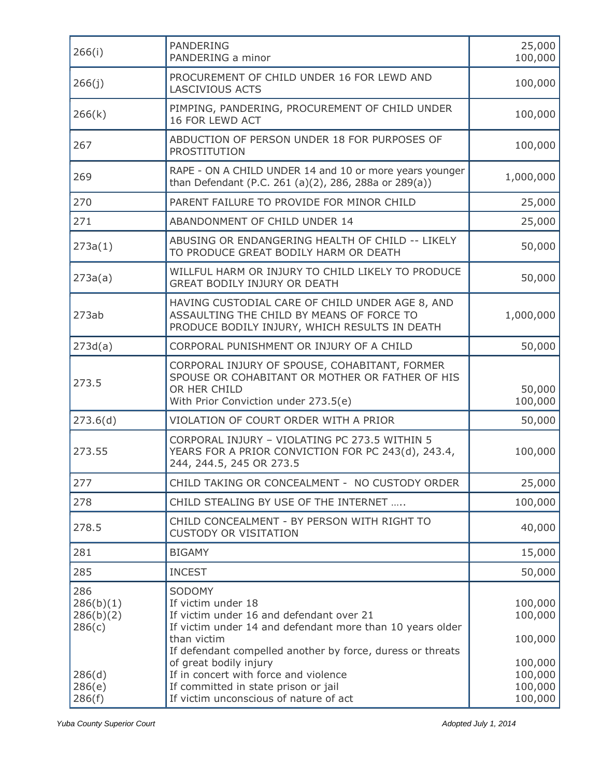| 266(i)                                  | <b>PANDERING</b>                                                                                                                                                                                                               | 25,000                                              |
|-----------------------------------------|--------------------------------------------------------------------------------------------------------------------------------------------------------------------------------------------------------------------------------|-----------------------------------------------------|
|                                         | PANDERING a minor                                                                                                                                                                                                              | 100,000                                             |
| 266(j)                                  | PROCUREMENT OF CHILD UNDER 16 FOR LEWD AND<br><b>LASCIVIOUS ACTS</b>                                                                                                                                                           | 100,000                                             |
| 266(k)                                  | PIMPING, PANDERING, PROCUREMENT OF CHILD UNDER<br>16 FOR LEWD ACT                                                                                                                                                              | 100,000                                             |
| 267                                     | ABDUCTION OF PERSON UNDER 18 FOR PURPOSES OF<br><b>PROSTITUTION</b>                                                                                                                                                            | 100,000                                             |
| 269                                     | RAPE - ON A CHILD UNDER 14 and 10 or more years younger<br>than Defendant (P.C. 261 (a)(2), 286, 288a or 289(a))                                                                                                               | 1,000,000                                           |
| 270                                     | PARENT FAILURE TO PROVIDE FOR MINOR CHILD                                                                                                                                                                                      | 25,000                                              |
| 271                                     | ABANDONMENT OF CHILD UNDER 14                                                                                                                                                                                                  | 25,000                                              |
| 273a(1)                                 | ABUSING OR ENDANGERING HEALTH OF CHILD -- LIKELY<br>TO PRODUCE GREAT BODILY HARM OR DEATH                                                                                                                                      | 50,000                                              |
| 273a(a)                                 | WILLFUL HARM OR INJURY TO CHILD LIKELY TO PRODUCE<br><b>GREAT BODILY INJURY OR DEATH</b>                                                                                                                                       | 50,000                                              |
| 273ab                                   | HAVING CUSTODIAL CARE OF CHILD UNDER AGE 8, AND<br>ASSAULTING THE CHILD BY MEANS OF FORCE TO<br>PRODUCE BODILY INJURY, WHICH RESULTS IN DEATH                                                                                  | 1,000,000                                           |
| 273d(a)                                 | CORPORAL PUNISHMENT OR INJURY OF A CHILD                                                                                                                                                                                       | 50,000                                              |
| 273.5                                   | CORPORAL INJURY OF SPOUSE, COHABITANT, FORMER<br>SPOUSE OR COHABITANT OR MOTHER OR FATHER OF HIS<br>OR HER CHILD<br>With Prior Conviction under 273.5(e)                                                                       | 50,000<br>100,000                                   |
| 273.6(d)                                | VIOLATION OF COURT ORDER WITH A PRIOR                                                                                                                                                                                          | 50,000                                              |
| 273.55                                  | CORPORAL INJURY - VIOLATING PC 273.5 WITHIN 5<br>YEARS FOR A PRIOR CONVICTION FOR PC 243(d), 243.4,<br>244, 244.5, 245 OR 273.5                                                                                                | 100,000                                             |
| 277                                     | CHILD TAKING OR CONCEALMENT - NO CUSTODY ORDER                                                                                                                                                                                 | 25,000                                              |
| 278                                     | CHILD STEALING BY USE OF THE INTERNET                                                                                                                                                                                          | 100,000                                             |
| 278.5                                   | CHILD CONCEALMENT - BY PERSON WITH RIGHT TO<br><b>CUSTODY OR VISITATION</b>                                                                                                                                                    | 40,000                                              |
| 281                                     | <b>BIGAMY</b>                                                                                                                                                                                                                  | 15,000                                              |
| 285                                     | <b>INCEST</b>                                                                                                                                                                                                                  | 50,000                                              |
| 286<br>286(b)(1)<br>286(b)(2)<br>286(c) | SODOMY<br>If victim under 18<br>If victim under 16 and defendant over 21<br>If victim under 14 and defendant more than 10 years older                                                                                          | 100,000<br>100,000                                  |
| 286(d)<br>286(e)<br>286(f)              | than victim<br>If defendant compelled another by force, duress or threats<br>of great bodily injury<br>If in concert with force and violence<br>If committed in state prison or jail<br>If victim unconscious of nature of act | 100,000<br>100,000<br>100,000<br>100,000<br>100,000 |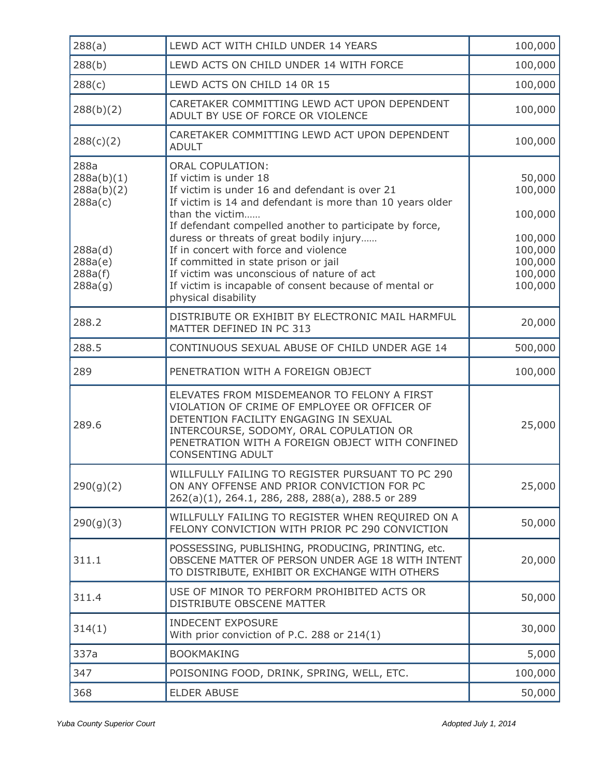| 288(a)                                      | LEWD ACT WITH CHILD UNDER 14 YEARS                                                                                                                                                                                                                                                        | 100,000                                  |
|---------------------------------------------|-------------------------------------------------------------------------------------------------------------------------------------------------------------------------------------------------------------------------------------------------------------------------------------------|------------------------------------------|
| 288(b)                                      | LEWD ACTS ON CHILD UNDER 14 WITH FORCE                                                                                                                                                                                                                                                    | 100,000                                  |
| 288(c)                                      | LEWD ACTS ON CHILD 14 0R 15                                                                                                                                                                                                                                                               | 100,000                                  |
| 288(b)(2)                                   | CARETAKER COMMITTING LEWD ACT UPON DEPENDENT<br>ADULT BY USE OF FORCE OR VIOLENCE                                                                                                                                                                                                         | 100,000                                  |
| 288(c)(2)                                   | CARETAKER COMMITTING LEWD ACT UPON DEPENDENT<br><b>ADULT</b>                                                                                                                                                                                                                              | 100,000                                  |
| 288a<br>288a(b)(1)<br>288a(b)(2)<br>288a(c) | <b>ORAL COPULATION:</b><br>If victim is under 18<br>If victim is under 16 and defendant is over 21<br>If victim is 14 and defendant is more than 10 years older<br>than the victim<br>If defendant compelled another to participate by force,<br>duress or threats of great bodily injury | 50,000<br>100,000<br>100,000<br>100,000  |
| 288a(d)<br>288a(e)<br>288a(f)<br>288a(g)    | If in concert with force and violence<br>If committed in state prison or jail<br>If victim was unconscious of nature of act<br>If victim is incapable of consent because of mental or<br>physical disability                                                                              | 100,000<br>100,000<br>100,000<br>100,000 |
| 288.2                                       | DISTRIBUTE OR EXHIBIT BY ELECTRONIC MAIL HARMFUL<br>MATTER DEFINED IN PC 313                                                                                                                                                                                                              | 20,000                                   |
| 288.5                                       | CONTINUOUS SEXUAL ABUSE OF CHILD UNDER AGE 14                                                                                                                                                                                                                                             | 500,000                                  |
| 289                                         | PENETRATION WITH A FOREIGN OBJECT                                                                                                                                                                                                                                                         | 100,000                                  |
| 289.6                                       | ELEVATES FROM MISDEMEANOR TO FELONY A FIRST<br>VIOLATION OF CRIME OF EMPLOYEE OR OFFICER OF<br>DETENTION FACILITY ENGAGING IN SEXUAL<br>INTERCOURSE, SODOMY, ORAL COPULATION OR<br>PENETRATION WITH A FOREIGN OBJECT WITH CONFINED<br><b>CONSENTING ADULT</b>                             | 25,000                                   |
| 290(g)(2)                                   | WILLFULLY FAILING TO REGISTER PURSUANT TO PC 290<br>ON ANY OFFENSE AND PRIOR CONVICTION FOR PC<br>262(a)(1), 264.1, 286, 288, 288(a), 288.5 or 289                                                                                                                                        | 25,000                                   |
| 290(g)(3)                                   | WILLFULLY FAILING TO REGISTER WHEN REQUIRED ON A<br>FELONY CONVICTION WITH PRIOR PC 290 CONVICTION                                                                                                                                                                                        | 50,000                                   |
| 311.1                                       | POSSESSING, PUBLISHING, PRODUCING, PRINTING, etc.<br>OBSCENE MATTER OF PERSON UNDER AGE 18 WITH INTENT<br>TO DISTRIBUTE, EXHIBIT OR EXCHANGE WITH OTHERS                                                                                                                                  | 20,000                                   |
| 311.4                                       | USE OF MINOR TO PERFORM PROHIBITED ACTS OR<br>DISTRIBUTE OBSCENE MATTER                                                                                                                                                                                                                   | 50,000                                   |
| 314(1)                                      | <b>INDECENT EXPOSURE</b><br>With prior conviction of P.C. 288 or 214(1)                                                                                                                                                                                                                   | 30,000                                   |
| 337a                                        | <b>BOOKMAKING</b>                                                                                                                                                                                                                                                                         | 5,000                                    |
| 347                                         | POISONING FOOD, DRINK, SPRING, WELL, ETC.                                                                                                                                                                                                                                                 | 100,000                                  |
| 368                                         | <b>ELDER ABUSE</b>                                                                                                                                                                                                                                                                        | 50,000                                   |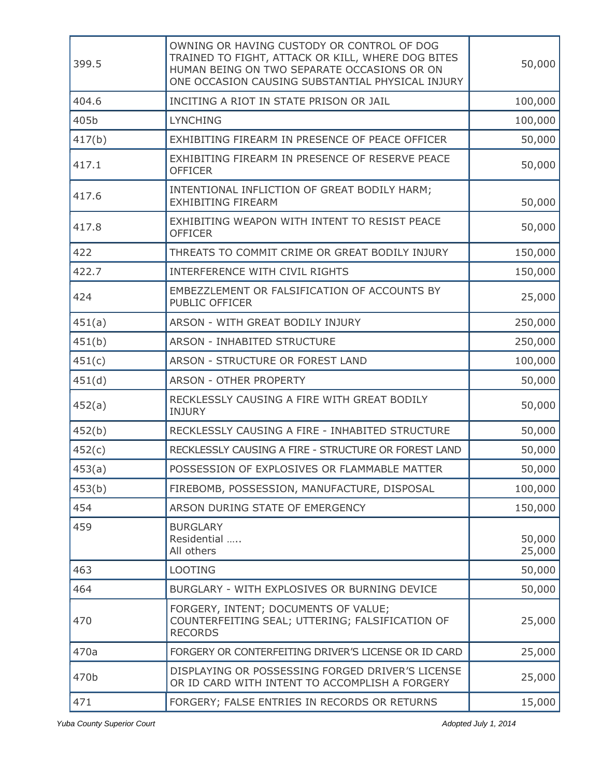| 399.5  | OWNING OR HAVING CUSTODY OR CONTROL OF DOG<br>TRAINED TO FIGHT, ATTACK OR KILL, WHERE DOG BITES<br>HUMAN BEING ON TWO SEPARATE OCCASIONS OR ON<br>ONE OCCASION CAUSING SUBSTANTIAL PHYSICAL INJURY | 50,000           |
|--------|----------------------------------------------------------------------------------------------------------------------------------------------------------------------------------------------------|------------------|
| 404.6  | INCITING A RIOT IN STATE PRISON OR JAIL                                                                                                                                                            | 100,000          |
| 405b   | <b>LYNCHING</b>                                                                                                                                                                                    | 100,000          |
| 417(b) | EXHIBITING FIREARM IN PRESENCE OF PEACE OFFICER                                                                                                                                                    | 50,000           |
| 417.1  | EXHIBITING FIREARM IN PRESENCE OF RESERVE PEACE<br><b>OFFICER</b>                                                                                                                                  | 50,000           |
| 417.6  | INTENTIONAL INFLICTION OF GREAT BODILY HARM;<br><b>EXHIBITING FIREARM</b>                                                                                                                          | 50,000           |
| 417.8  | EXHIBITING WEAPON WITH INTENT TO RESIST PEACE<br><b>OFFICER</b>                                                                                                                                    | 50,000           |
| 422    | THREATS TO COMMIT CRIME OR GREAT BODILY INJURY                                                                                                                                                     | 150,000          |
| 422.7  | INTERFERENCE WITH CIVIL RIGHTS                                                                                                                                                                     | 150,000          |
| 424    | EMBEZZLEMENT OR FALSIFICATION OF ACCOUNTS BY<br>PUBLIC OFFICER                                                                                                                                     | 25,000           |
| 451(a) | ARSON - WITH GREAT BODILY INJURY                                                                                                                                                                   | 250,000          |
| 451(b) | <b>ARSON - INHABITED STRUCTURE</b>                                                                                                                                                                 | 250,000          |
| 451(c) | ARSON - STRUCTURE OR FOREST LAND                                                                                                                                                                   | 100,000          |
| 451(d) | ARSON - OTHER PROPERTY                                                                                                                                                                             | 50,000           |
| 452(a) | RECKLESSLY CAUSING A FIRE WITH GREAT BODILY<br><b>INJURY</b>                                                                                                                                       | 50,000           |
| 452(b) | RECKLESSLY CAUSING A FIRE - INHABITED STRUCTURE                                                                                                                                                    | 50,000           |
| 452(c) | RECKLESSLY CAUSING A FIRE - STRUCTURE OR FOREST LAND                                                                                                                                               | 50,000           |
| 453(a) | POSSESSION OF EXPLOSIVES OR FLAMMABLE MATTER                                                                                                                                                       | 50,000           |
| 453(b) | FIREBOMB, POSSESSION, MANUFACTURE, DISPOSAL                                                                                                                                                        | 100,000          |
| 454    | ARSON DURING STATE OF EMERGENCY                                                                                                                                                                    | 150,000          |
| 459    | <b>BURGLARY</b><br>Residential<br>All others                                                                                                                                                       | 50,000<br>25,000 |
| 463    | <b>LOOTING</b>                                                                                                                                                                                     | 50,000           |
| 464    | BURGLARY - WITH EXPLOSIVES OR BURNING DEVICE                                                                                                                                                       | 50,000           |
| 470    | FORGERY, INTENT; DOCUMENTS OF VALUE;<br>COUNTERFEITING SEAL; UTTERING; FALSIFICATION OF<br><b>RECORDS</b>                                                                                          | 25,000           |
| 470a   | FORGERY OR CONTERFEITING DRIVER'S LICENSE OR ID CARD                                                                                                                                               | 25,000           |
| 470b   | DISPLAYING OR POSSESSING FORGED DRIVER'S LICENSE<br>OR ID CARD WITH INTENT TO ACCOMPLISH A FORGERY                                                                                                 | 25,000           |
| 471    | FORGERY; FALSE ENTRIES IN RECORDS OR RETURNS                                                                                                                                                       | 15,000           |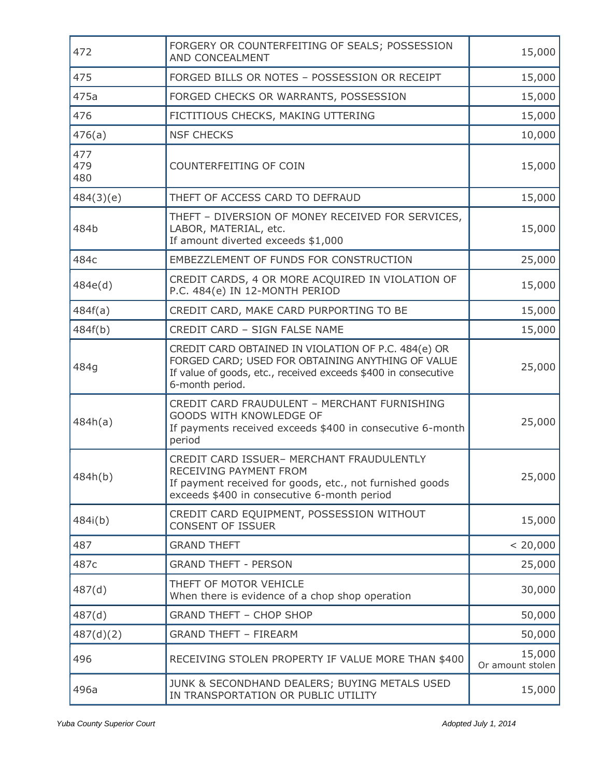| 472               | FORGERY OR COUNTERFEITING OF SEALS; POSSESSION<br>AND CONCEALMENT                                                                                                                             | 15,000                     |
|-------------------|-----------------------------------------------------------------------------------------------------------------------------------------------------------------------------------------------|----------------------------|
| 475               | FORGED BILLS OR NOTES - POSSESSION OR RECEIPT                                                                                                                                                 | 15,000                     |
| 475a              | FORGED CHECKS OR WARRANTS, POSSESSION                                                                                                                                                         | 15,000                     |
| 476               | FICTITIOUS CHECKS, MAKING UTTERING                                                                                                                                                            | 15,000                     |
| 476(a)            | <b>NSF CHECKS</b>                                                                                                                                                                             | 10,000                     |
| 477<br>479<br>480 | COUNTERFEITING OF COIN                                                                                                                                                                        | 15,000                     |
| 484(3)(e)         | THEFT OF ACCESS CARD TO DEFRAUD                                                                                                                                                               | 15,000                     |
| 484b              | THEFT - DIVERSION OF MONEY RECEIVED FOR SERVICES,<br>LABOR, MATERIAL, etc.<br>If amount diverted exceeds \$1,000                                                                              | 15,000                     |
| 484c              | EMBEZZLEMENT OF FUNDS FOR CONSTRUCTION                                                                                                                                                        | 25,000                     |
| 484e(d)           | CREDIT CARDS, 4 OR MORE ACQUIRED IN VIOLATION OF<br>P.C. 484(e) IN 12-MONTH PERIOD                                                                                                            | 15,000                     |
| 484f(a)           | CREDIT CARD, MAKE CARD PURPORTING TO BE                                                                                                                                                       | 15,000                     |
| 484f(b)           | CREDIT CARD - SIGN FALSE NAME                                                                                                                                                                 | 15,000                     |
| 484g              | CREDIT CARD OBTAINED IN VIOLATION OF P.C. 484(e) OR<br>FORGED CARD; USED FOR OBTAINING ANYTHING OF VALUE<br>If value of goods, etc., received exceeds \$400 in consecutive<br>6-month period. | 25,000                     |
| 484h(a)           | CREDIT CARD FRAUDULENT - MERCHANT FURNISHING<br>GOODS WITH KNOWLEDGE OF<br>If payments received exceeds \$400 in consecutive 6-month<br>period                                                | 25,000                     |
| 484h(b)           | CREDIT CARD ISSUER- MERCHANT FRAUDULENTLY<br>RECEIVING PAYMENT FROM<br>If payment received for goods, etc., not furnished goods<br>exceeds \$400 in consecutive 6-month period                | 25,000                     |
| 484i(b)           | CREDIT CARD EQUIPMENT, POSSESSION WITHOUT<br><b>CONSENT OF ISSUER</b>                                                                                                                         | 15,000                     |
| 487               | <b>GRAND THEFT</b>                                                                                                                                                                            | < 20,000                   |
| 487c              | <b>GRAND THEFT - PERSON</b>                                                                                                                                                                   | 25,000                     |
| 487(d)            | THEFT OF MOTOR VEHICLE<br>When there is evidence of a chop shop operation                                                                                                                     | 30,000                     |
| 487(d)            | <b>GRAND THEFT - CHOP SHOP</b>                                                                                                                                                                | 50,000                     |
| 487(d)(2)         | <b>GRAND THEFT - FIREARM</b>                                                                                                                                                                  | 50,000                     |
| 496               | RECEIVING STOLEN PROPERTY IF VALUE MORE THAN \$400                                                                                                                                            | 15,000<br>Or amount stolen |
| 496a              | JUNK & SECONDHAND DEALERS; BUYING METALS USED<br>IN TRANSPORTATION OR PUBLIC UTILITY                                                                                                          | 15,000                     |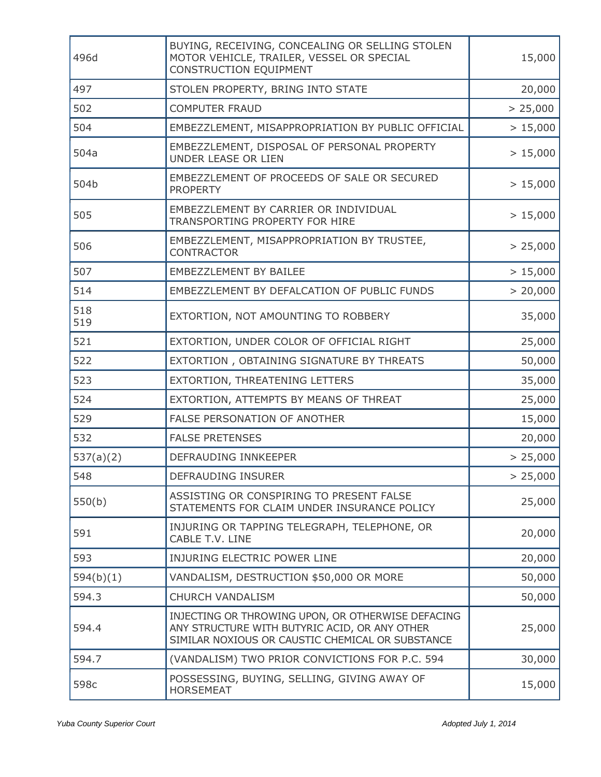| 496d       | BUYING, RECEIVING, CONCEALING OR SELLING STOLEN<br>MOTOR VEHICLE, TRAILER, VESSEL OR SPECIAL<br>CONSTRUCTION EQUIPMENT                                 | 15,000   |
|------------|--------------------------------------------------------------------------------------------------------------------------------------------------------|----------|
| 497        | STOLEN PROPERTY, BRING INTO STATE                                                                                                                      | 20,000   |
| 502        | <b>COMPUTER FRAUD</b>                                                                                                                                  | > 25,000 |
| 504        | EMBEZZLEMENT, MISAPPROPRIATION BY PUBLIC OFFICIAL                                                                                                      | > 15,000 |
| 504a       | EMBEZZLEMENT, DISPOSAL OF PERSONAL PROPERTY<br>UNDER LEASE OR LIEN                                                                                     | > 15,000 |
| 504b       | EMBEZZLEMENT OF PROCEEDS OF SALE OR SECURED<br><b>PROPERTY</b>                                                                                         | > 15,000 |
| 505        | EMBEZZLEMENT BY CARRIER OR INDIVIDUAL<br>TRANSPORTING PROPERTY FOR HIRE                                                                                | > 15,000 |
| 506        | EMBEZZLEMENT, MISAPPROPRIATION BY TRUSTEE,<br><b>CONTRACTOR</b>                                                                                        | > 25,000 |
| 507        | EMBEZZLEMENT BY BAILEE                                                                                                                                 | > 15,000 |
| 514        | EMBEZZLEMENT BY DEFALCATION OF PUBLIC FUNDS                                                                                                            | > 20,000 |
| 518<br>519 | EXTORTION, NOT AMOUNTING TO ROBBERY                                                                                                                    | 35,000   |
| 521        | EXTORTION, UNDER COLOR OF OFFICIAL RIGHT                                                                                                               | 25,000   |
| 522        | EXTORTION, OBTAINING SIGNATURE BY THREATS                                                                                                              | 50,000   |
| 523        | EXTORTION, THREATENING LETTERS                                                                                                                         | 35,000   |
| 524        | EXTORTION, ATTEMPTS BY MEANS OF THREAT                                                                                                                 | 25,000   |
| 529        | FALSE PERSONATION OF ANOTHER                                                                                                                           | 15,000   |
| 532        | <b>FALSE PRETENSES</b>                                                                                                                                 | 20,000   |
| 537(a)(2)  | DEFRAUDING INNKEEPER                                                                                                                                   | > 25,000 |
| 548        | DEFRAUDING INSURER                                                                                                                                     | > 25,000 |
| 550(b)     | ASSISTING OR CONSPIRING TO PRESENT FALSE<br>STATEMENTS FOR CLAIM UNDER INSURANCE POLICY                                                                | 25,000   |
| 591        | INJURING OR TAPPING TELEGRAPH, TELEPHONE, OR<br>CABLE T.V. LINE                                                                                        | 20,000   |
| 593        | INJURING ELECTRIC POWER LINE                                                                                                                           | 20,000   |
| 594(b)(1)  | VANDALISM, DESTRUCTION \$50,000 OR MORE                                                                                                                | 50,000   |
| 594.3      | <b>CHURCH VANDALISM</b>                                                                                                                                | 50,000   |
| 594.4      | INJECTING OR THROWING UPON, OR OTHERWISE DEFACING<br>ANY STRUCTURE WITH BUTYRIC ACID, OR ANY OTHER<br>SIMILAR NOXIOUS OR CAUSTIC CHEMICAL OR SUBSTANCE | 25,000   |
| 594.7      | (VANDALISM) TWO PRIOR CONVICTIONS FOR P.C. 594                                                                                                         | 30,000   |
| 598c       | POSSESSING, BUYING, SELLING, GIVING AWAY OF<br><b>HORSEMEAT</b>                                                                                        | 15,000   |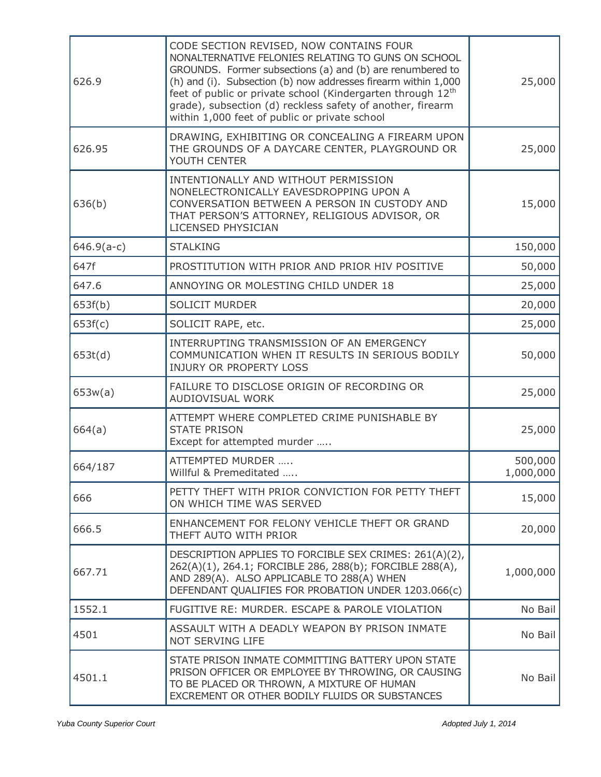| 626.9        | CODE SECTION REVISED, NOW CONTAINS FOUR<br>NONALTERNATIVE FELONIES RELATING TO GUNS ON SCHOOL<br>GROUNDS. Former subsections (a) and (b) are renumbered to<br>(h) and (i). Subsection (b) now addresses firearm within 1,000<br>feet of public or private school (Kindergarten through 12 <sup>th</sup><br>grade), subsection (d) reckless safety of another, firearm<br>within 1,000 feet of public or private school | 25,000               |
|--------------|------------------------------------------------------------------------------------------------------------------------------------------------------------------------------------------------------------------------------------------------------------------------------------------------------------------------------------------------------------------------------------------------------------------------|----------------------|
| 626.95       | DRAWING, EXHIBITING OR CONCEALING A FIREARM UPON<br>THE GROUNDS OF A DAYCARE CENTER, PLAYGROUND OR<br>YOUTH CENTER                                                                                                                                                                                                                                                                                                     | 25,000               |
| 636(b)       | INTENTIONALLY AND WITHOUT PERMISSION<br>NONELECTRONICALLY EAVESDROPPING UPON A<br>CONVERSATION BETWEEN A PERSON IN CUSTODY AND<br>THAT PERSON'S ATTORNEY, RELIGIOUS ADVISOR, OR<br>LICENSED PHYSICIAN                                                                                                                                                                                                                  | 15,000               |
| $646.9(a-c)$ | <b>STALKING</b>                                                                                                                                                                                                                                                                                                                                                                                                        | 150,000              |
| 647f         | PROSTITUTION WITH PRIOR AND PRIOR HIV POSITIVE                                                                                                                                                                                                                                                                                                                                                                         | 50,000               |
| 647.6        | ANNOYING OR MOLESTING CHILD UNDER 18                                                                                                                                                                                                                                                                                                                                                                                   | 25,000               |
| 653f(b)      | <b>SOLICIT MURDER</b>                                                                                                                                                                                                                                                                                                                                                                                                  | 20,000               |
| 653f(c)      | SOLICIT RAPE, etc.                                                                                                                                                                                                                                                                                                                                                                                                     | 25,000               |
| 653t(d)      | INTERRUPTING TRANSMISSION OF AN EMERGENCY<br>COMMUNICATION WHEN IT RESULTS IN SERIOUS BODILY<br><b>INJURY OR PROPERTY LOSS</b>                                                                                                                                                                                                                                                                                         | 50,000               |
| 653w(a)      | FAILURE TO DISCLOSE ORIGIN OF RECORDING OR<br>AUDIOVISUAL WORK                                                                                                                                                                                                                                                                                                                                                         | 25,000               |
| 664(a)       | ATTEMPT WHERE COMPLETED CRIME PUNISHABLE BY<br><b>STATE PRISON</b><br>Except for attempted murder                                                                                                                                                                                                                                                                                                                      | 25,000               |
| 664/187      | ATTEMPTED MURDER<br>Willful & Premeditated                                                                                                                                                                                                                                                                                                                                                                             | 500,000<br>1,000,000 |
| 666          | PETTY THEFT WITH PRIOR CONVICTION FOR PETTY THEFT<br>ON WHICH TIME WAS SERVED                                                                                                                                                                                                                                                                                                                                          | 15,000               |
| 666.5        | ENHANCEMENT FOR FELONY VEHICLE THEFT OR GRAND<br>THEFT AUTO WITH PRIOR                                                                                                                                                                                                                                                                                                                                                 | 20,000               |
| 667.71       | DESCRIPTION APPLIES TO FORCIBLE SEX CRIMES: 261(A)(2),<br>262(A)(1), 264.1; FORCIBLE 286, 288(b); FORCIBLE 288(A),<br>AND 289(A). ALSO APPLICABLE TO 288(A) WHEN<br>DEFENDANT QUALIFIES FOR PROBATION UNDER 1203.066(c)                                                                                                                                                                                                | 1,000,000            |
| 1552.1       | FUGITIVE RE: MURDER. ESCAPE & PAROLE VIOLATION                                                                                                                                                                                                                                                                                                                                                                         | No Bail              |
| 4501         | ASSAULT WITH A DEADLY WEAPON BY PRISON INMATE<br>NOT SERVING LIFE                                                                                                                                                                                                                                                                                                                                                      | No Bail              |
| 4501.1       | STATE PRISON INMATE COMMITTING BATTERY UPON STATE<br>PRISON OFFICER OR EMPLOYEE BY THROWING, OR CAUSING<br>TO BE PLACED OR THROWN, A MIXTURE OF HUMAN<br>EXCREMENT OR OTHER BODILY FLUIDS OR SUBSTANCES                                                                                                                                                                                                                | No Bail              |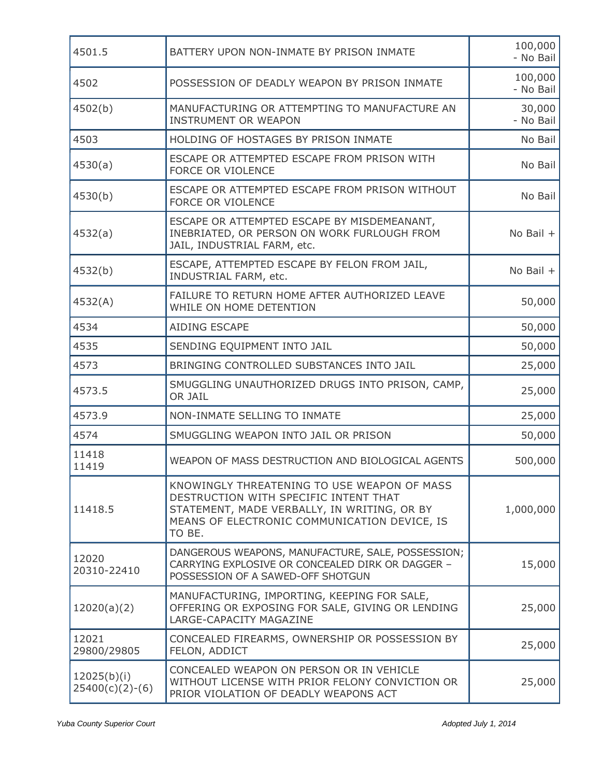| 4501.5                           | BATTERY UPON NON-INMATE BY PRISON INMATE                                                                                                                                                      | 100,000<br>- No Bail |
|----------------------------------|-----------------------------------------------------------------------------------------------------------------------------------------------------------------------------------------------|----------------------|
| 4502                             | POSSESSION OF DEADLY WEAPON BY PRISON INMATE                                                                                                                                                  | 100,000<br>- No Bail |
| 4502(b)                          | MANUFACTURING OR ATTEMPTING TO MANUFACTURE AN<br><b>INSTRUMENT OR WEAPON</b>                                                                                                                  | 30,000<br>- No Bail  |
| 4503                             | HOLDING OF HOSTAGES BY PRISON INMATE                                                                                                                                                          | No Bail              |
| 4530(a)                          | ESCAPE OR ATTEMPTED ESCAPE FROM PRISON WITH<br>FORCE OR VIOLENCE                                                                                                                              | No Bail              |
| 4530(b)                          | ESCAPE OR ATTEMPTED ESCAPE FROM PRISON WITHOUT<br>FORCE OR VIOLENCE                                                                                                                           | No Bail              |
| 4532(a)                          | ESCAPE OR ATTEMPTED ESCAPE BY MISDEMEANANT,<br>INEBRIATED, OR PERSON ON WORK FURLOUGH FROM<br>JAIL, INDUSTRIAL FARM, etc.                                                                     | No Bail $+$          |
| 4532(b)                          | ESCAPE, ATTEMPTED ESCAPE BY FELON FROM JAIL,<br>INDUSTRIAL FARM, etc.                                                                                                                         | No Bail +            |
| 4532(A)                          | FAILURE TO RETURN HOME AFTER AUTHORIZED LEAVE<br>WHILE ON HOME DETENTION                                                                                                                      | 50,000               |
| 4534                             | AIDING ESCAPE                                                                                                                                                                                 | 50,000               |
| 4535                             | SENDING EQUIPMENT INTO JAIL                                                                                                                                                                   | 50,000               |
| 4573                             | BRINGING CONTROLLED SUBSTANCES INTO JAIL                                                                                                                                                      | 25,000               |
| 4573.5                           | SMUGGLING UNAUTHORIZED DRUGS INTO PRISON, CAMP,<br>OR JAIL                                                                                                                                    | 25,000               |
| 4573.9                           | NON-INMATE SELLING TO INMATE                                                                                                                                                                  | 25,000               |
| 4574                             | SMUGGLING WEAPON INTO JAIL OR PRISON                                                                                                                                                          | 50,000               |
| 11418<br>11419                   | WEAPON OF MASS DESTRUCTION AND BIOLOGICAL AGENTS                                                                                                                                              | 500,000              |
| 11418.5                          | KNOWINGLY THREATENING TO USE WEAPON OF MASS<br>DESTRUCTION WITH SPECIFIC INTENT THAT<br>STATEMENT, MADE VERBALLY, IN WRITING, OR BY<br>MEANS OF ELECTRONIC COMMUNICATION DEVICE, IS<br>TO BE. | 1,000,000            |
| 12020<br>20310-22410             | DANGEROUS WEAPONS, MANUFACTURE, SALE, POSSESSION;<br>CARRYING EXPLOSIVE OR CONCEALED DIRK OR DAGGER -<br>POSSESSION OF A SAWED-OFF SHOTGUN                                                    | 15,000               |
| 12020(a)(2)                      | MANUFACTURING, IMPORTING, KEEPING FOR SALE,<br>OFFERING OR EXPOSING FOR SALE, GIVING OR LENDING<br>LARGE-CAPACITY MAGAZINE                                                                    | 25,000               |
| 12021<br>29800/29805             | CONCEALED FIREARMS, OWNERSHIP OR POSSESSION BY<br>FELON, ADDICT                                                                                                                               | 25,000               |
| 12025(b)(i)<br>$25400(c)(2)-(6)$ | CONCEALED WEAPON ON PERSON OR IN VEHICLE<br>WITHOUT LICENSE WITH PRIOR FELONY CONVICTION OR<br>PRIOR VIOLATION OF DEADLY WEAPONS ACT                                                          | 25,000               |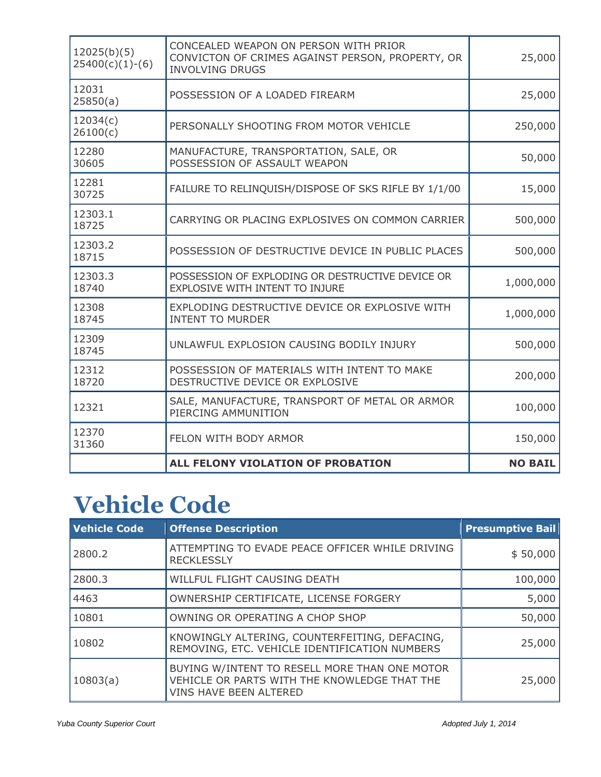| 12025(b)(5)<br>$25400(c)(1)-(6)$ | CONCEALED WEAPON ON PERSON WITH PRIOR<br>CONVICTON OF CRIMES AGAINST PERSON, PROPERTY, OR<br><b>INVOLVING DRUGS</b> | 25,000         |
|----------------------------------|---------------------------------------------------------------------------------------------------------------------|----------------|
| 12031<br>25850(a)                | POSSESSION OF A LOADED FIREARM                                                                                      | 25,000         |
| 12034(c)<br>26100(c)             | PERSONALLY SHOOTING FROM MOTOR VEHICLE                                                                              | 250,000        |
| 12280<br>30605                   | MANUFACTURE, TRANSPORTATION, SALE, OR<br>POSSESSION OF ASSAULT WEAPON                                               | 50,000         |
| 12281<br>30725                   | FAILURE TO RELINQUISH/DISPOSE OF SKS RIFLE BY 1/1/00                                                                | 15,000         |
| 12303.1<br>18725                 | CARRYING OR PLACING EXPLOSIVES ON COMMON CARRIER                                                                    | 500,000        |
| 12303.2<br>18715                 | POSSESSION OF DESTRUCTIVE DEVICE IN PUBLIC PLACES                                                                   | 500,000        |
| 12303.3<br>18740                 | POSSESSION OF EXPLODING OR DESTRUCTIVE DEVICE OR<br>EXPLOSIVE WITH INTENT TO INJURE                                 | 1,000,000      |
| 12308<br>18745                   | EXPLODING DESTRUCTIVE DEVICE OR EXPLOSIVE WITH<br><b>INTENT TO MURDER</b>                                           | 1,000,000      |
| 12309<br>18745                   | UNLAWFUL EXPLOSION CAUSING BODILY INJURY                                                                            | 500,000        |
| 12312<br>18720                   | POSSESSION OF MATERIALS WITH INTENT TO MAKE<br>DESTRUCTIVE DEVICE OR EXPLOSIVE                                      | 200,000        |
| 12321                            | SALE, MANUFACTURE, TRANSPORT OF METAL OR ARMOR<br>PIERCING AMMUNITION                                               | 100,000        |
| 12370<br>31360                   | FELON WITH BODY ARMOR                                                                                               | 150,000        |
|                                  | ALL FELONY VIOLATION OF PROBATION                                                                                   | <b>NO BAIL</b> |

### **Vehicle Code**

| <b>Vehicle Code</b> | <b>Offense Description</b>                                                                                                     | <b>Presumptive Bail</b> |
|---------------------|--------------------------------------------------------------------------------------------------------------------------------|-------------------------|
| 2800.2              | ATTEMPTING TO EVADE PEACE OFFICER WHILE DRIVING<br><b>RECKLESSLY</b>                                                           | \$50,000                |
| 2800.3              | WILLFUL FLIGHT CAUSING DEATH                                                                                                   | 100,000                 |
| 4463                | OWNERSHIP CERTIFICATE, LICENSE FORGERY                                                                                         | 5,000                   |
| 10801               | OWNING OR OPERATING A CHOP SHOP                                                                                                | 50,000                  |
| 10802               | KNOWINGLY ALTERING, COUNTERFEITING, DEFACING,<br>REMOVING, ETC. VEHICLE IDENTIFICATION NUMBERS                                 | 25,000                  |
| 10803(a)            | BUYING W/INTENT TO RESELL MORE THAN ONE MOTOR<br>VEHICLE OR PARTS WITH THE KNOWLEDGE THAT THE<br><b>VINS HAVE BEEN ALTERED</b> | 25,000                  |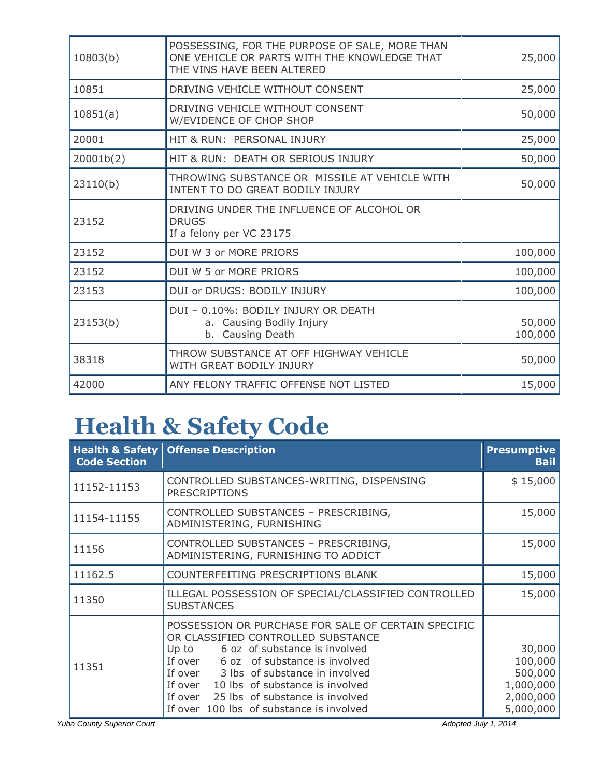| 10803(b)  | POSSESSING, FOR THE PURPOSE OF SALE, MORE THAN<br>ONE VEHICLE OR PARTS WITH THE KNOWLEDGE THAT<br>THE VINS HAVE BEEN ALTERED | 25,000            |
|-----------|------------------------------------------------------------------------------------------------------------------------------|-------------------|
| 10851     | DRIVING VEHICLE WITHOUT CONSENT                                                                                              | 25,000            |
| 10851(a)  | DRIVING VEHICLE WITHOUT CONSENT<br>W/EVIDENCE OF CHOP SHOP                                                                   | 50,000            |
| 20001     | HIT & RUN: PERSONAL INJURY                                                                                                   | 25,000            |
| 20001b(2) | HIT & RUN: DEATH OR SERIOUS INJURY                                                                                           | 50,000            |
| 23110(b)  | THROWING SUBSTANCE OR MISSILE AT VEHICLE WITH<br>INTENT TO DO GREAT BODILY INJURY                                            | 50,000            |
| 23152     | DRIVING UNDER THE INFLUENCE OF ALCOHOL OR<br><b>DRUGS</b><br>If a felony per VC 23175                                        |                   |
| 23152     | DUI W 3 or MORE PRIORS                                                                                                       | 100,000           |
| 23152     | DUI W 5 or MORE PRIORS                                                                                                       | 100,000           |
| 23153     | DUI or DRUGS: BODILY INJURY                                                                                                  | 100,000           |
| 23153(b)  | DUI - 0.10%: BODILY INJURY OR DEATH<br>a. Causing Bodily Injury<br>b. Causing Death                                          | 50,000<br>100,000 |
| 38318     | THROW SUBSTANCE AT OFF HIGHWAY VEHICLE<br>WITH GREAT BODILY INJURY                                                           | 50,000            |
| 42000     | ANY FELONY TRAFFIC OFFENSE NOT LISTED                                                                                        | 15,000            |
|           |                                                                                                                              |                   |

## **Health & Safety Code**

| <b>Health &amp; Safety</b><br><b>Code Section</b> | <b>Offense Description</b>                                                                                                                                                                                                                                                                                                                            | <b>Presumptive</b><br><b>Bail</b>                                   |
|---------------------------------------------------|-------------------------------------------------------------------------------------------------------------------------------------------------------------------------------------------------------------------------------------------------------------------------------------------------------------------------------------------------------|---------------------------------------------------------------------|
| 11152-11153                                       | CONTROLLED SUBSTANCES-WRITING, DISPENSING<br><b>PRESCRIPTIONS</b>                                                                                                                                                                                                                                                                                     | \$15,000                                                            |
| 11154-11155                                       | CONTROLLED SUBSTANCES - PRESCRIBING,<br>ADMINISTERING, FURNISHING                                                                                                                                                                                                                                                                                     | 15,000                                                              |
| 11156                                             | CONTROLLED SUBSTANCES - PRESCRIBING,<br>ADMINISTERING, FURNISHING TO ADDICT                                                                                                                                                                                                                                                                           | 15,000                                                              |
| 11162.5                                           | COUNTERFEITING PRESCRIPTIONS BLANK                                                                                                                                                                                                                                                                                                                    | 15,000                                                              |
| 11350                                             | ILLEGAL POSSESSION OF SPECIAL/CLASSIFIED CONTROLLED<br><b>SUBSTANCES</b>                                                                                                                                                                                                                                                                              | 15,000                                                              |
| 11351                                             | POSSESSION OR PURCHASE FOR SALE OF CERTAIN SPECIFIC<br>OR CLASSIFIED CONTROLLED SUBSTANCE<br>Up to 6 oz of substance is involved<br>If over 6 oz of substance is involved<br>If over 3 lbs of substance in involved<br>If over 10 lbs of substance is involved<br>If over 25 lbs of substance is involved<br>If over 100 lbs of substance is involved | 30,000<br>100,000<br>500,000<br>1,000,000<br>2,000,000<br>5,000,000 |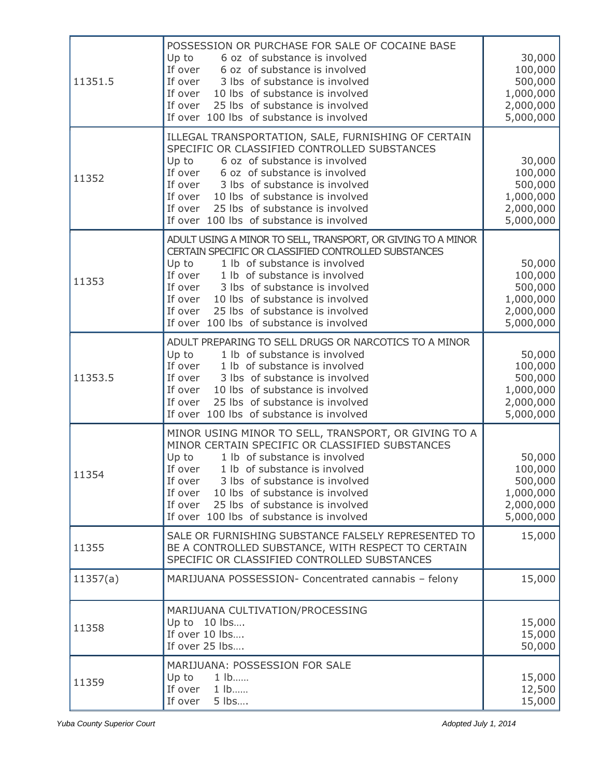| 11351.5  | POSSESSION OR PURCHASE FOR SALE OF COCAINE BASE<br>Up to<br>6 oz of substance is involved<br>If over<br>6 oz of substance is involved<br>If over 3 lbs of substance is involved<br>If over 10 lbs of substance is involved<br>If over<br>25 lbs of substance is involved<br>If over 100 lbs of substance is involved                                                                      | 30,000<br>100,000<br>500,000<br>1,000,000<br>2,000,000<br>5,000,000 |
|----------|-------------------------------------------------------------------------------------------------------------------------------------------------------------------------------------------------------------------------------------------------------------------------------------------------------------------------------------------------------------------------------------------|---------------------------------------------------------------------|
| 11352    | ILLEGAL TRANSPORTATION, SALE, FURNISHING OF CERTAIN<br>SPECIFIC OR CLASSIFIED CONTROLLED SUBSTANCES<br>Up to<br>6 oz of substance is involved<br>If over 6 oz of substance is involved<br>If over 3 lbs of substance is involved<br>If over 10 lbs of substance is involved<br>If over<br>25 lbs of substance is involved<br>If over 100 lbs of substance is involved                     | 30,000<br>100,000<br>500,000<br>1,000,000<br>2,000,000<br>5,000,000 |
| 11353    | ADULT USING A MINOR TO SELL, TRANSPORT, OR GIVING TO A MINOR<br>CERTAIN SPECIFIC OR CLASSIFIED CONTROLLED SUBSTANCES<br>Up to<br>1 lb of substance is involved<br>If over 1 lb of substance is involved<br>If over 3 lbs of substance is involved<br>If over<br>10 lbs of substance is involved<br>If over<br>25 lbs of substance is involved<br>If over 100 lbs of substance is involved | 50,000<br>100,000<br>500,000<br>1,000,000<br>2,000,000<br>5,000,000 |
| 11353.5  | ADULT PREPARING TO SELL DRUGS OR NARCOTICS TO A MINOR<br>Up to<br>1 lb of substance is involved<br>If over 1 lb of substance is involved<br>If over 3 lbs of substance is involved<br>If over<br>10 lbs of substance is involved<br>25 lbs of substance is involved<br>If over<br>If over 100 lbs of substance is involved                                                                | 50,000<br>100,000<br>500,000<br>1,000,000<br>2,000,000<br>5,000,000 |
| 11354    | MINOR USING MINOR TO SELL, TRANSPORT, OR GIVING TO A<br>MINOR CERTAIN SPECIFIC OR CLASSIFIED SUBSTANCES<br>Up to<br>1 lb of substance is involved<br>If over<br>1 lb of substance is involved<br>3 lbs of substance is involved<br>If over<br>If over<br>10 lbs of substance is involved<br>If over<br>25 lbs of substance is involved<br>If over 100 lbs of substance is involved        | 50,000<br>100,000<br>500,000<br>1,000,000<br>2,000,000<br>5,000,000 |
| 11355    | SALE OR FURNISHING SUBSTANCE FALSELY REPRESENTED TO<br>BE A CONTROLLED SUBSTANCE, WITH RESPECT TO CERTAIN<br>SPECIFIC OR CLASSIFIED CONTROLLED SUBSTANCES                                                                                                                                                                                                                                 | 15,000                                                              |
| 11357(a) | MARIJUANA POSSESSION- Concentrated cannabis - felony                                                                                                                                                                                                                                                                                                                                      | 15,000                                                              |
| 11358    | MARIJUANA CULTIVATION/PROCESSING<br>Up to 10 lbs<br>If over 10 lbs<br>If over 25 lbs                                                                                                                                                                                                                                                                                                      | 15,000<br>15,000<br>50,000                                          |
| 11359    | MARIJUANA: POSSESSION FOR SALE<br>Up to<br>$1$ $lb$<br>If over<br>1 lb<br>If over<br>5 lbs                                                                                                                                                                                                                                                                                                | 15,000<br>12,500<br>15,000                                          |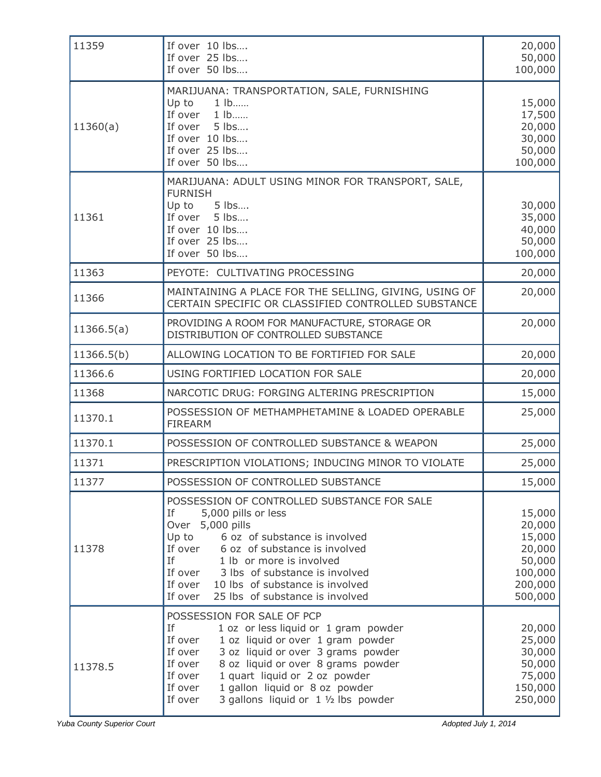| 11359      | If over 10 lbs<br>If over 25 lbs<br>If over 50 lbs                                                                                                                                                                                                                                                                                                                     | 20,000<br>50,000<br>100,000                                                     |
|------------|------------------------------------------------------------------------------------------------------------------------------------------------------------------------------------------------------------------------------------------------------------------------------------------------------------------------------------------------------------------------|---------------------------------------------------------------------------------|
| 11360(a)   | MARIJUANA: TRANSPORTATION, SALE, FURNISHING<br>Up to<br>$1$ $lb$<br>1 lb<br>If over<br>If over 5 lbs<br>If over 10 lbs<br>If over 25 lbs<br>If over 50 lbs                                                                                                                                                                                                             | 15,000<br>17,500<br>20,000<br>30,000<br>50,000<br>100,000                       |
| 11361      | MARIJUANA: ADULT USING MINOR FOR TRANSPORT, SALE,<br><b>FURNISH</b><br>5 lbs<br>Up to<br>If over<br>5 lbs<br>If over 10 lbs<br>If over 25 lbs<br>If over 50 lbs                                                                                                                                                                                                        | 30,000<br>35,000<br>40,000<br>50,000<br>100,000                                 |
| 11363      | PEYOTE: CULTIVATING PROCESSING                                                                                                                                                                                                                                                                                                                                         | 20,000                                                                          |
| 11366      | MAINTAINING A PLACE FOR THE SELLING, GIVING, USING OF<br>CERTAIN SPECIFIC OR CLASSIFIED CONTROLLED SUBSTANCE                                                                                                                                                                                                                                                           | 20,000                                                                          |
| 11366.5(a) | PROVIDING A ROOM FOR MANUFACTURE, STORAGE OR<br>DISTRIBUTION OF CONTROLLED SUBSTANCE                                                                                                                                                                                                                                                                                   | 20,000                                                                          |
| 11366.5(b) | ALLOWING LOCATION TO BE FORTIFIED FOR SALE                                                                                                                                                                                                                                                                                                                             | 20,000                                                                          |
| 11366.6    | USING FORTIFIED LOCATION FOR SALE                                                                                                                                                                                                                                                                                                                                      | 20,000                                                                          |
| 11368      | NARCOTIC DRUG: FORGING ALTERING PRESCRIPTION                                                                                                                                                                                                                                                                                                                           | 15,000                                                                          |
| 11370.1    | POSSESSION OF METHAMPHETAMINE & LOADED OPERABLE<br><b>FIREARM</b>                                                                                                                                                                                                                                                                                                      | 25,000                                                                          |
| 11370.1    | POSSESSION OF CONTROLLED SUBSTANCE & WEAPON                                                                                                                                                                                                                                                                                                                            | 25,000                                                                          |
| 11371      | PRESCRIPTION VIOLATIONS; INDUCING MINOR TO VIOLATE                                                                                                                                                                                                                                                                                                                     | 25,000                                                                          |
| 11377      | POSSESSION OF CONTROLLED SUBSTANCE                                                                                                                                                                                                                                                                                                                                     | 15,000                                                                          |
| 11378      | POSSESSION OF CONTROLLED SUBSTANCE FOR SALE<br>If<br>5,000 pills or less<br>Over 5,000 pills<br>6 oz of substance is involved<br>Up to<br>6 oz of substance is involved<br>If over<br>If<br>1 lb or more is involved<br>If over<br>3 lbs of substance is involved<br>If over<br>10 lbs of substance is involved<br>If over<br>25 lbs of substance is involved          | 15,000<br>20,000<br>15,000<br>20,000<br>50,000<br>100,000<br>200,000<br>500,000 |
| 11378.5    | POSSESSION FOR SALE OF PCP<br>If<br>1 oz or less liquid or 1 gram powder<br>If over<br>1 oz liquid or over 1 gram powder<br>If over<br>3 oz liquid or over 3 grams powder<br>If over<br>8 oz liquid or over 8 grams powder<br>1 quart liquid or 2 oz powder<br>If over<br>1 gallon liquid or 8 oz powder<br>If over<br>3 gallons liquid or 1 1/2 lbs powder<br>If over | 20,000<br>25,000<br>30,000<br>50,000<br>75,000<br>150,000<br>250,000            |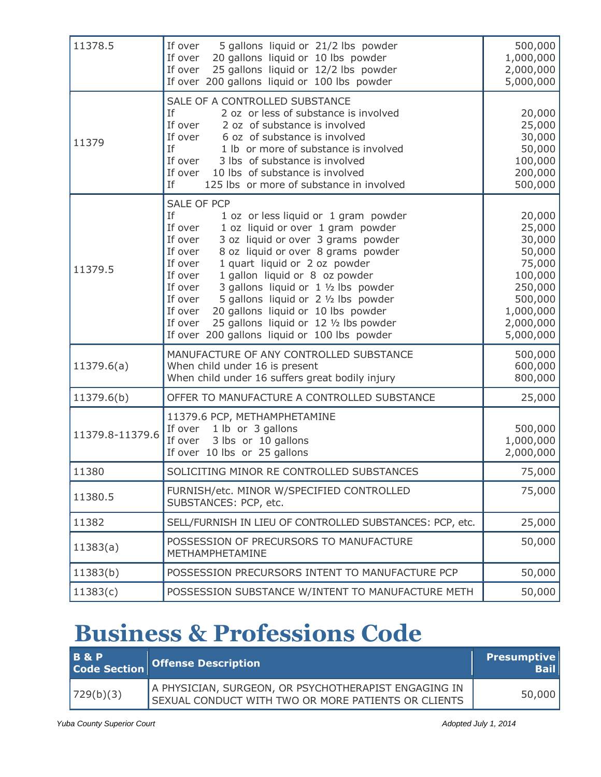| 11378.5         | If over<br>5 gallons liquid or 21/2 lbs powder<br>If over<br>20 gallons liquid or 10 lbs powder<br>25 gallons liquid or 12/2 lbs powder<br>If over<br>If over 200 gallons liquid or 100 lbs powder                                                                                                                                                                                                                                                                                                                                                                      | 500,000<br>1,000,000<br>2,000,000<br>5,000,000                                                                         |
|-----------------|-------------------------------------------------------------------------------------------------------------------------------------------------------------------------------------------------------------------------------------------------------------------------------------------------------------------------------------------------------------------------------------------------------------------------------------------------------------------------------------------------------------------------------------------------------------------------|------------------------------------------------------------------------------------------------------------------------|
| 11379           | SALE OF A CONTROLLED SUBSTANCE<br>If<br>2 oz or less of substance is involved<br>If over<br>2 oz of substance is involved<br>If over<br>6 oz of substance is involved<br>If<br>1 lb or more of substance is involved<br>If over<br>3 lbs of substance is involved<br>If over<br>10 lbs of substance is involved<br>If<br>125 lbs or more of substance in involved                                                                                                                                                                                                       | 20,000<br>25,000<br>30,000<br>50,000<br>100,000<br>200,000<br>500,000                                                  |
| 11379.5         | <b>SALE OF PCP</b><br>If<br>1 oz or less liquid or 1 gram powder<br>1 oz liquid or over 1 gram powder<br>If over<br>If over<br>3 oz liquid or over 3 grams powder<br>If over<br>8 oz liquid or over 8 grams powder<br>1 quart liquid or 2 oz powder<br>If over<br>If over<br>1 gallon liquid or 8 oz powder<br>3 gallons liquid or 1 1/2 lbs powder<br>If over<br>5 gallons liquid or 2 1/2 lbs powder<br>If over<br>20 gallons liquid or 10 lbs powder<br>If over<br>25 gallons liquid or 12 1/2 lbs powder<br>If over<br>If over 200 gallons liquid or 100 lbs powder | 20,000<br>25,000<br>30,000<br>50,000<br>75,000<br>100,000<br>250,000<br>500,000<br>1,000,000<br>2,000,000<br>5,000,000 |
| 11379.6(a)      | MANUFACTURE OF ANY CONTROLLED SUBSTANCE<br>When child under 16 is present<br>When child under 16 suffers great bodily injury                                                                                                                                                                                                                                                                                                                                                                                                                                            | 500,000<br>600,000<br>800,000                                                                                          |
| 11379.6(b)      | OFFER TO MANUFACTURE A CONTROLLED SUBSTANCE                                                                                                                                                                                                                                                                                                                                                                                                                                                                                                                             | 25,000                                                                                                                 |
| 11379.8-11379.6 | 11379.6 PCP, METHAMPHETAMINE<br>If over 1 lb or 3 gallons<br>3 lbs or 10 gallons<br>If over<br>If over 10 lbs or 25 gallons                                                                                                                                                                                                                                                                                                                                                                                                                                             | 500,000<br>1,000,000<br>2,000,000                                                                                      |
| 11380           | SOLICITING MINOR RE CONTROLLED SUBSTANCES                                                                                                                                                                                                                                                                                                                                                                                                                                                                                                                               | 75,000                                                                                                                 |
| 11380.5         | FURNISH/etc. MINOR W/SPECIFIED CONTROLLED<br>SUBSTANCES: PCP, etc.                                                                                                                                                                                                                                                                                                                                                                                                                                                                                                      | 75,000                                                                                                                 |
| 11382           | SELL/FURNISH IN LIEU OF CONTROLLED SUBSTANCES: PCP, etc.                                                                                                                                                                                                                                                                                                                                                                                                                                                                                                                | 25,000                                                                                                                 |
| 11383(a)        | POSSESSION OF PRECURSORS TO MANUFACTURE<br>METHAMPHETAMINE                                                                                                                                                                                                                                                                                                                                                                                                                                                                                                              | 50,000                                                                                                                 |
| 11383(b)        | POSSESSION PRECURSORS INTENT TO MANUFACTURE PCP                                                                                                                                                                                                                                                                                                                                                                                                                                                                                                                         | 50,000                                                                                                                 |
| 11383(c)        | POSSESSION SUBSTANCE W/INTENT TO MANUFACTURE METH                                                                                                                                                                                                                                                                                                                                                                                                                                                                                                                       | 50,000                                                                                                                 |

## **Business & Professions Code**

| <b>B&amp;P</b> | Code Section Offense Description                                                                            | <b>Presumptive</b><br><b>Bail</b> |
|----------------|-------------------------------------------------------------------------------------------------------------|-----------------------------------|
| 729(b)(3)      | A PHYSICIAN, SURGEON, OR PSYCHOTHERAPIST ENGAGING IN<br>SEXUAL CONDUCT WITH TWO OR MORE PATIENTS OR CLIENTS | 50,000                            |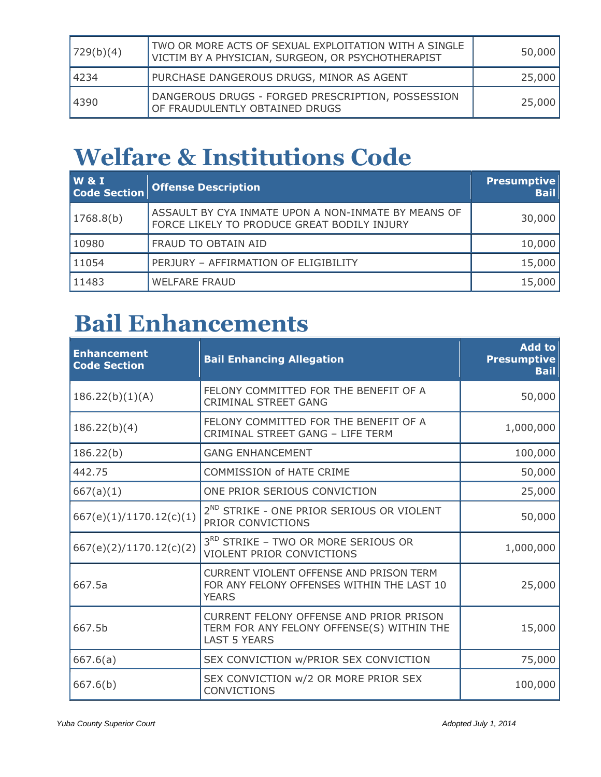| 729(b)(4) | TWO OR MORE ACTS OF SEXUAL EXPLOITATION WITH A SINGLE<br>VICTIM BY A PHYSICIAN, SURGEON, OR PSYCHOTHERAPIST | 50,000 |
|-----------|-------------------------------------------------------------------------------------------------------------|--------|
| 14234     | PURCHASE DANGEROUS DRUGS, MINOR AS AGENT                                                                    | 25,000 |
| 4390      | DANGEROUS DRUGS - FORGED PRESCRIPTION, POSSESSION<br>OF FRAUDULENTLY OBTAINED DRUGS                         | 25,000 |

# **Welfare & Institutions Code**

| <b>W&amp;I</b><br><b>Code Section</b> | <b>Offense Description</b>                                                                         | <b>Presumptive</b><br><b>Bail</b> |
|---------------------------------------|----------------------------------------------------------------------------------------------------|-----------------------------------|
| 1768.8(b)                             | ASSAULT BY CYA INMATE UPON A NON-INMATE BY MEANS OF<br>FORCE LIKELY TO PRODUCE GREAT BODILY INJURY | 30,000                            |
| 10980                                 | FRAUD TO OBTAIN AID                                                                                | 10,000                            |
| 11054                                 | PERJURY - AFFIRMATION OF ELIGIBILITY                                                               | 15,000                            |
| 11483                                 | <b>WELFARE FRAUD</b>                                                                               | 15,000                            |

## **Bail Enhancements**

| <b>Enhancement</b><br><b>Code Section</b> | <b>Bail Enhancing Allegation</b>                                                                                   | <b>Add to</b><br><b>Presumptive</b><br><b>Bail</b> |
|-------------------------------------------|--------------------------------------------------------------------------------------------------------------------|----------------------------------------------------|
| 186.22(b)(1)(A)                           | FELONY COMMITTED FOR THE BENEFIT OF A<br><b>CRIMINAL STREET GANG</b>                                               | 50,000                                             |
| 186.22(b)(4)                              | FELONY COMMITTED FOR THE BENEFIT OF A<br>CRIMINAL STREET GANG - LIFE TERM                                          | 1,000,000                                          |
| 186.22(b)                                 | <b>GANG ENHANCEMENT</b>                                                                                            | 100,000                                            |
| 442.75                                    | <b>COMMISSION of HATE CRIME</b>                                                                                    | 50,000                                             |
| 667(a)(1)                                 | ONE PRIOR SERIOUS CONVICTION                                                                                       | 25,000                                             |
| 667(e)(1)/1170.12(c)(1)                   | 2 <sup>ND</sup> STRIKE - ONE PRIOR SERIOUS OR VIOLENT<br>PRIOR CONVICTIONS                                         | 50,000                                             |
| 667(e)(2)/1170.12(c)(2)                   | 3RD STRIKE - TWO OR MORE SERIOUS OR<br>VIOLENT PRIOR CONVICTIONS                                                   | 1,000,000                                          |
| 667.5a                                    | <b>CURRENT VIOLENT OFFENSE AND PRISON TERM</b><br>FOR ANY FELONY OFFENSES WITHIN THE LAST 10<br><b>YEARS</b>       | 25,000                                             |
| 667.5b                                    | <b>CURRENT FELONY OFFENSE AND PRIOR PRISON</b><br>TERM FOR ANY FELONY OFFENSE(S) WITHIN THE<br><b>LAST 5 YEARS</b> | 15,000                                             |
| 667.6(a)                                  | SEX CONVICTION W/PRIOR SEX CONVICTION                                                                              | 75,000                                             |
| 667.6(b)                                  | SEX CONVICTION w/2 OR MORE PRIOR SEX<br><b>CONVICTIONS</b>                                                         | 100,000                                            |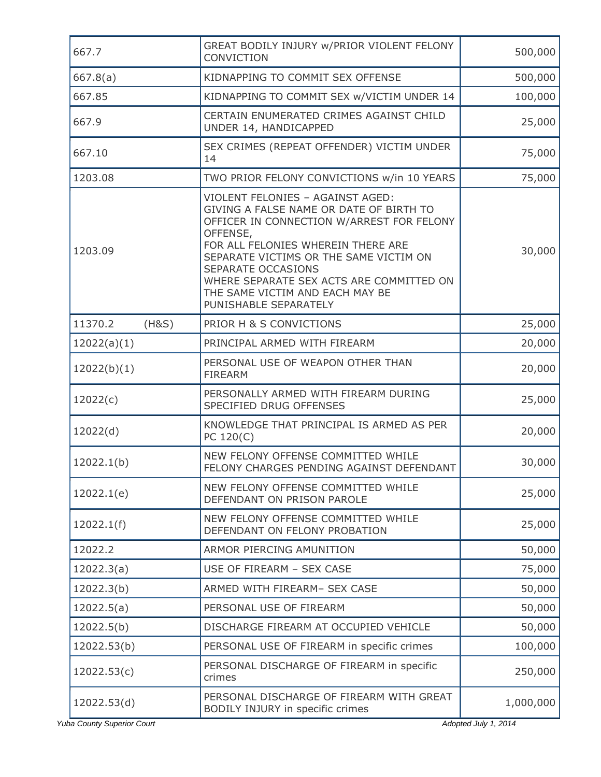| 667.7            | GREAT BODILY INJURY W/PRIOR VIOLENT FELONY<br>CONVICTION                                                                                                                                                                                                                                                                                           | 500,000   |
|------------------|----------------------------------------------------------------------------------------------------------------------------------------------------------------------------------------------------------------------------------------------------------------------------------------------------------------------------------------------------|-----------|
| 667.8(a)         | KIDNAPPING TO COMMIT SEX OFFENSE                                                                                                                                                                                                                                                                                                                   | 500,000   |
| 667.85           | KIDNAPPING TO COMMIT SEX w/VICTIM UNDER 14                                                                                                                                                                                                                                                                                                         | 100,000   |
| 667.9            | CERTAIN ENUMERATED CRIMES AGAINST CHILD<br>UNDER 14, HANDICAPPED                                                                                                                                                                                                                                                                                   | 25,000    |
| 667.10           | SEX CRIMES (REPEAT OFFENDER) VICTIM UNDER<br>14                                                                                                                                                                                                                                                                                                    | 75,000    |
| 1203.08          | TWO PRIOR FELONY CONVICTIONS w/in 10 YEARS                                                                                                                                                                                                                                                                                                         | 75,000    |
| 1203.09          | VIOLENT FELONIES - AGAINST AGED:<br>GIVING A FALSE NAME OR DATE OF BIRTH TO<br>OFFICER IN CONNECTION W/ARREST FOR FELONY<br>OFFENSE,<br>FOR ALL FELONIES WHEREIN THERE ARE<br>SEPARATE VICTIMS OR THE SAME VICTIM ON<br>SEPARATE OCCASIONS<br>WHERE SEPARATE SEX ACTS ARE COMMITTED ON<br>THE SAME VICTIM AND EACH MAY BE<br>PUNISHABLE SEPARATELY | 30,000    |
| 11370.2<br>(H&S) | PRIOR H & S CONVICTIONS                                                                                                                                                                                                                                                                                                                            | 25,000    |
| 12022(a)(1)      | PRINCIPAL ARMED WITH FIREARM                                                                                                                                                                                                                                                                                                                       | 20,000    |
| 12022(b)(1)      | PERSONAL USE OF WEAPON OTHER THAN<br><b>FIREARM</b>                                                                                                                                                                                                                                                                                                | 20,000    |
| 12022(c)         | PERSONALLY ARMED WITH FIREARM DURING<br>SPECIFIED DRUG OFFENSES                                                                                                                                                                                                                                                                                    | 25,000    |
| 12022(d)         | KNOWLEDGE THAT PRINCIPAL IS ARMED AS PER<br>PC 120(C)                                                                                                                                                                                                                                                                                              | 20,000    |
| 12022.1(b)       | NEW FELONY OFFENSE COMMITTED WHILE<br>FELONY CHARGES PENDING AGAINST DEFENDANT                                                                                                                                                                                                                                                                     | 30,000    |
| 12022.1(e)       | NEW FELONY OFFENSE COMMITTED WHILE<br>DEFENDANT ON PRISON PAROLE                                                                                                                                                                                                                                                                                   | 25,000    |
| 12022.1(f)       | NEW FELONY OFFENSE COMMITTED WHILE<br>DEFENDANT ON FELONY PROBATION                                                                                                                                                                                                                                                                                | 25,000    |
| 12022.2          | ARMOR PIERCING AMUNITION                                                                                                                                                                                                                                                                                                                           | 50,000    |
| 12022.3(a)       | USE OF FIREARM - SEX CASE                                                                                                                                                                                                                                                                                                                          | 75,000    |
| 12022.3(b)       | ARMED WITH FIREARM- SEX CASE                                                                                                                                                                                                                                                                                                                       | 50,000    |
| 12022.5(a)       | PERSONAL USE OF FIREARM                                                                                                                                                                                                                                                                                                                            | 50,000    |
| 12022.5(b)       | DISCHARGE FIREARM AT OCCUPIED VEHICLE                                                                                                                                                                                                                                                                                                              | 50,000    |
| 12022.53(b)      | PERSONAL USE OF FIREARM in specific crimes                                                                                                                                                                                                                                                                                                         | 100,000   |
| 12022.53(c)      | PERSONAL DISCHARGE OF FIREARM in specific<br>crimes                                                                                                                                                                                                                                                                                                | 250,000   |
| 12022.53(d)      | PERSONAL DISCHARGE OF FIREARM WITH GREAT<br>BODILY INJURY in specific crimes                                                                                                                                                                                                                                                                       | 1,000,000 |